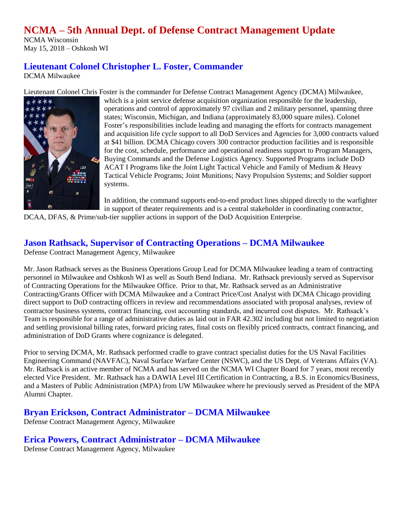# **NCMA – 5th Annual Dept. of Defense Contract Management Update**

NCMA Wisconsin May 15, 2018 – Oshkosh WI

# **Lieutenant Colonel Christopher L. Foster, Commander**

DCMA Milwaukee

Lieutenant Colonel Chris Foster is the commander for Defense Contract Management Agency (DCMA) Milwaukee,



which is a joint service defense acquisition organization responsible for the leadership, operations and control of approximately 97 civilian and 2 military personnel, spanning three states; Wisconsin, Michigan, and Indiana (approximately 83,000 square miles). Colonel Foster's responsibilities include leading and managing the efforts for contracts management and acquisition life cycle support to all DoD Services and Agencies for 3,000 contracts valued at \$41 billion. DCMA Chicago covers 300 contractor production facilities and is responsible for the cost, schedule, performance and operational readiness support to Program Managers, Buying Commands and the Defense Logistics Agency. Supported Programs include DoD ACAT I Programs like the Joint Light Tactical Vehicle and Family of Medium & Heavy Tactical Vehicle Programs; Joint Munitions; Navy Propulsion Systems; and Soldier support systems.

In addition, the command supports end-to-end product lines shipped directly to the warfighter in support of theater requirements and is a central stakeholder in coordinating contractor,

DCAA, DFAS, & Prime/sub-tier supplier actions in support of the DoD Acquisition Enterprise.

### **Jason Rathsack, Supervisor of Contracting Operations – DCMA Milwaukee**

Defense Contract Management Agency, Milwaukee

Mr. Jason Rathsack serves as the Business Operations Group Lead for DCMA Milwaukee leading a team of contracting personnel in Milwaukee and Oshkosh WI as well as South Bend Indiana. Mr. Rathsack previously served as Supervisor of Contracting Operations for the Milwaukee Office. Prior to that, Mr. Rathsack served as an Administrative Contracting/Grants Officer with DCMA Milwaukee and a Contract Price/Cost Analyst with DCMA Chicago providing direct support to DoD contracting officers in review and recommendations associated with proposal analyses, review of contractor business systems, contract financing, cost accounting standards, and incurred cost disputes. Mr. Rathsack's Team is responsible for a range of administrative duties as laid out in FAR 42.302 including but not limited to negotiation and settling provisional billing rates, forward pricing rates, final costs on flexibly priced contracts, contract financing, and administration of DoD Grants where cognizance is delegated.

Prior to serving DCMA, Mr. Rathsack performed cradle to grave contract specialist duties for the US Naval Facilities Engineering Command (NAVFAC), Naval Surface Warfare Center (NSWC), and the US Dept. of Veterans Affairs (VA). Mr. Rathsack is an active member of NCMA and has served on the NCMA WI Chapter Board for 7 years, most recently elected Vice President. Mr. Rathsack has a DAWIA Level III Certification in Contracting, a B.S. in Economics/Business, and a Masters of Public Administration (MPA) from UW Milwaukee where he previously served as President of the MPA Alumni Chapter.

**Bryan Erickson, Contract Administrator – DCMA Milwaukee**

Defense Contract Management Agency, Milwaukee

**Erica Powers, Contract Administrator – DCMA Milwaukee**

Defense Contract Management Agency, Milwaukee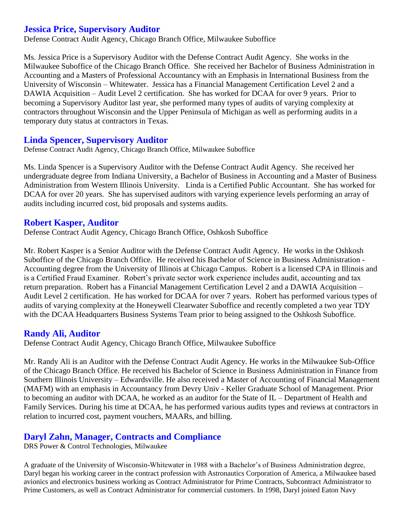## **Jessica Price, Supervisory Auditor**

Defense Contract Audit Agency, Chicago Branch Office, Milwaukee Suboffice

Ms. Jessica Price is a Supervisory Auditor with the Defense Contract Audit Agency. She works in the Milwaukee Suboffice of the Chicago Branch Office. She received her Bachelor of Business Administration in Accounting and a Masters of Professional Accountancy with an Emphasis in International Business from the University of Wisconsin – Whitewater. Jessica has a Financial Management Certification Level 2 and a DAWIA Acquisition – Audit Level 2 certification. She has worked for DCAA for over 9 years. Prior to becoming a Supervisory Auditor last year, she performed many types of audits of varying complexity at contractors throughout Wisconsin and the Upper Peninsula of Michigan as well as performing audits in a temporary duty status at contractors in Texas.

#### **Linda Spencer, Supervisory Auditor**

Defense Contract Audit Agency, Chicago Branch Office, Milwaukee Suboffice

Ms. Linda Spencer is a Supervisory Auditor with the Defense Contract Audit Agency. She received her undergraduate degree from Indiana University, a Bachelor of Business in Accounting and a Master of Business Administration from Western Illinois University. Linda is a Certified Public Accountant. She has worked for DCAA for over 20 years. She has supervised auditors with varying experience levels performing an array of audits including incurred cost, bid proposals and systems audits.

#### **Robert Kasper, Auditor**

Defense Contract Audit Agency, Chicago Branch Office, Oshkosh Suboffice

Mr. Robert Kasper is a Senior Auditor with the Defense Contract Audit Agency. He works in the Oshkosh Suboffice of the Chicago Branch Office. He received his Bachelor of Science in Business Administration - Accounting degree from the University of Illinois at Chicago Campus. Robert is a licensed CPA in Illinois and is a Certified Fraud Examiner. Robert's private sector work experience includes audit, accounting and tax return preparation. Robert has a Financial Management Certification Level 2 and a DAWIA Acquisition – Audit Level 2 certification. He has worked for DCAA for over 7 years. Robert has performed various types of audits of varying complexity at the Honeywell Clearwater Suboffice and recently completed a two year TDY with the DCAA Headquarters Business Systems Team prior to being assigned to the Oshkosh Suboffice.

#### **Randy Ali, Auditor**

Defense Contract Audit Agency, Chicago Branch Office, Milwaukee Suboffice

Mr. Randy Ali is an Auditor with the Defense Contract Audit Agency. He works in the Milwaukee Sub-Office of the Chicago Branch Office. He received his Bachelor of Science in Business Administration in Finance from Southern Illinois University – Edwardsville. He also received a Master of Accounting of Financial Management (MAFM) with an emphasis in Accountancy from Devry Univ - Keller Graduate School of Management. Prior to becoming an auditor with DCAA, he worked as an auditor for the State of IL – Department of Health and Family Services. During his time at DCAA, he has performed various audits types and reviews at contractors in relation to incurred cost, payment vouchers, MAARs, and billing.

#### **Daryl Zahn, Manager, Contracts and Compliance**

DRS Power & Control Technologies, Milwaukee

A graduate of the University of Wisconsin-Whitewater in 1988 with a Bachelor's of Business Administration degree, Daryl began his working career in the contract profession with Astronautics Corporation of America, a Milwaukee based avionics and electronics business working as Contract Administrator for Prime Contracts, Subcontract Administrator to Prime Customers, as well as Contract Administrator for commercial customers. In 1998, Daryl joined Eaton Navy